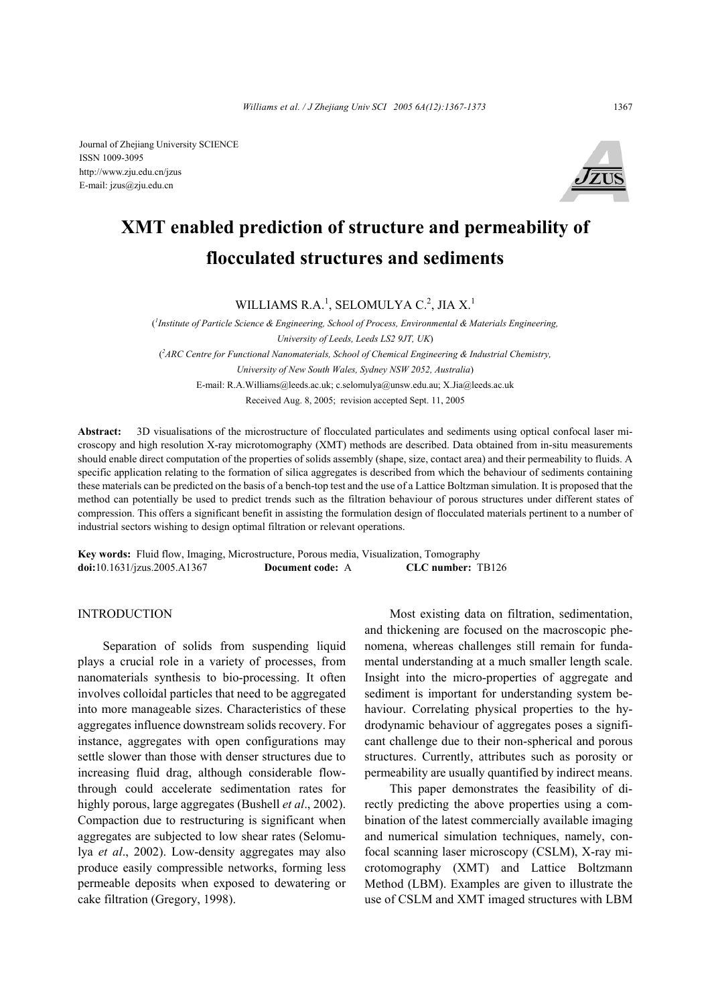

# **XMT enabled prediction of structure and permeability of flocculated structures and sediments**

WILLIAMS R.A.<sup>1</sup>, SELOMULYA C.<sup>2</sup>, JIA X.<sup>1</sup>

( *1 Institute of Particle Science & Engineering, School of Process, Environmental & Materials Engineering, University of Leeds, Leeds LS2 9JT, UK*) ( *2 ARC Centre for Functional Nanomaterials, School of Chemical Engineering & Industrial Chemistry, University of New South Wales, Sydney NSW 2052, Australia*) E-mail: R.A.Williams@leeds.ac.uk; c.selomulya@unsw.edu.au; X.Jia@leeds.ac.uk Received Aug. 8, 2005; revision accepted Sept. 11, 2005

**Abstract:** 3D visualisations of the microstructure of flocculated particulates and sediments using optical confocal laser microscopy and high resolution X-ray microtomography (XMT) methods are described. Data obtained from in-situ measurements should enable direct computation of the properties of solids assembly (shape, size, contact area) and their permeability to fluids. A specific application relating to the formation of silica aggregates is described from which the behaviour of sediments containing these materials can be predicted on the basis of a bench-top test and the use of a Lattice Boltzman simulation. It is proposed that the method can potentially be used to predict trends such as the filtration behaviour of porous structures under different states of compression. This offers a significant benefit in assisting the formulation design of flocculated materials pertinent to a number of industrial sectors wishing to design optimal filtration or relevant operations.

**Key words:** Fluid flow, Imaging, Microstructure, Porous media, Visualization, Tomography **doi:**10.1631/jzus.2005.A1367 **Document code:** A **CLC number:** TB126

## **INTRODUCTION**

Separation of solids from suspending liquid plays a crucial role in a variety of processes, from nanomaterials synthesis to bio-processing. It often involves colloidal particles that need to be aggregated into more manageable sizes. Characteristics of these aggregates influence downstream solids recovery. For instance, aggregates with open configurations may settle slower than those with denser structures due to increasing fluid drag, although considerable flowthrough could accelerate sedimentation rates for highly porous, large aggregates (Bushell *et al*., 2002). Compaction due to restructuring is significant when aggregates are subjected to low shear rates (Selomulya *et al*., 2002). Low-density aggregates may also produce easily compressible networks, forming less permeable deposits when exposed to dewatering or cake filtration (Gregory, 1998).

Most existing data on filtration, sedimentation, and thickening are focused on the macroscopic phenomena, whereas challenges still remain for fundamental understanding at a much smaller length scale. Insight into the micro-properties of aggregate and sediment is important for understanding system behaviour. Correlating physical properties to the hydrodynamic behaviour of aggregates poses a significant challenge due to their non-spherical and porous structures. Currently, attributes such as porosity or permeability are usually quantified by indirect means.

This paper demonstrates the feasibility of directly predicting the above properties using a combination of the latest commercially available imaging and numerical simulation techniques, namely, confocal scanning laser microscopy (CSLM), X-ray microtomography (XMT) and Lattice Boltzmann Method (LBM). Examples are given to illustrate the use of CSLM and XMT imaged structures with LBM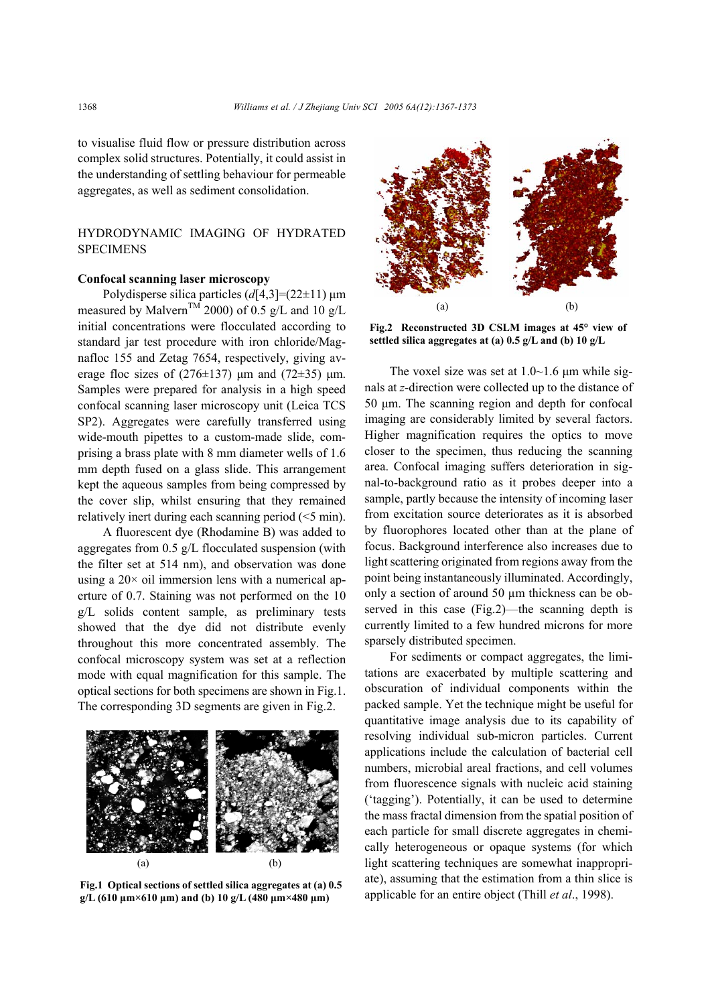to visualise fluid flow or pressure distribution across complex solid structures. Potentially, it could assist in the understanding of settling behaviour for permeable aggregates, as well as sediment consolidation.

# HYDRODYNAMIC IMAGING OF HYDRATED **SPECIMENS**

## **Confocal scanning laser microscopy**

Polydisperse silica particles  $(d[4,3] = (22 \pm 11) \text{ }\mu\text{m}$ measured by Malvern<sup>TM</sup> 2000) of 0.5 g/L and 10 g/L initial concentrations were flocculated according to standard jar test procedure with iron chloride/Magnafloc 155 and Zetag 7654, respectively, giving average floc sizes of  $(276\pm137)$  µm and  $(72\pm35)$  µm. Samples were prepared for analysis in a high speed confocal scanning laser microscopy unit (Leica TCS SP2). Aggregates were carefully transferred using wide-mouth pipettes to a custom-made slide, comprising a brass plate with 8 mm diameter wells of 1.6 mm depth fused on a glass slide. This arrangement kept the aqueous samples from being compressed by the cover slip, whilst ensuring that they remained relatively inert during each scanning period (<5 min).

A fluorescent dye (Rhodamine B) was added to aggregates from 0.5 g/L flocculated suspension (with the filter set at 514 nm), and observation was done using a  $20 \times$  oil immersion lens with a numerical aperture of 0.7. Staining was not performed on the 10 g/L solids content sample, as preliminary tests showed that the dye did not distribute evenly throughout this more concentrated assembly. The confocal microscopy system was set at a reflection mode with equal magnification for this sample. The optical sections for both specimens are shown in Fig.1. The corresponding 3D segments are given in Fig.2.



**Fig.1 Optical sections of settled silica aggregates at (a) 0.5 g/L (610 µm×610 µm) and (b) 10 g/L (480 µm×480 µm)** 

(a)  $(b)$ 

**Fig.2 Reconstructed 3D CSLM images at 45° view of settled silica aggregates at (a) 0.5 g/L and (b) 10 g/L** 

The voxel size was set at  $1.0 \sim 1.6$  µm while signals at *z*-direction were collected up to the distance of 50 µm. The scanning region and depth for confocal imaging are considerably limited by several factors. Higher magnification requires the optics to move closer to the specimen, thus reducing the scanning area. Confocal imaging suffers deterioration in signal-to-background ratio as it probes deeper into a sample, partly because the intensity of incoming laser from excitation source deteriorates as it is absorbed by fluorophores located other than at the plane of focus. Background interference also increases due to light scattering originated from regions away from the point being instantaneously illuminated. Accordingly, only a section of around 50 µm thickness can be observed in this case (Fig.2)—the scanning depth is currently limited to a few hundred microns for more sparsely distributed specimen.

For sediments or compact aggregates, the limitations are exacerbated by multiple scattering and obscuration of individual components within the packed sample. Yet the technique might be useful for quantitative image analysis due to its capability of resolving individual sub-micron particles. Current applications include the calculation of bacterial cell numbers, microbial areal fractions, and cell volumes from fluorescence signals with nucleic acid staining ('tagging'). Potentially, it can be used to determine the mass fractal dimension from the spatial position of each particle for small discrete aggregates in chemically heterogeneous or opaque systems (for which light scattering techniques are somewhat inappropriate), assuming that the estimation from a thin slice is applicable for an entire object (Thill *et al*., 1998).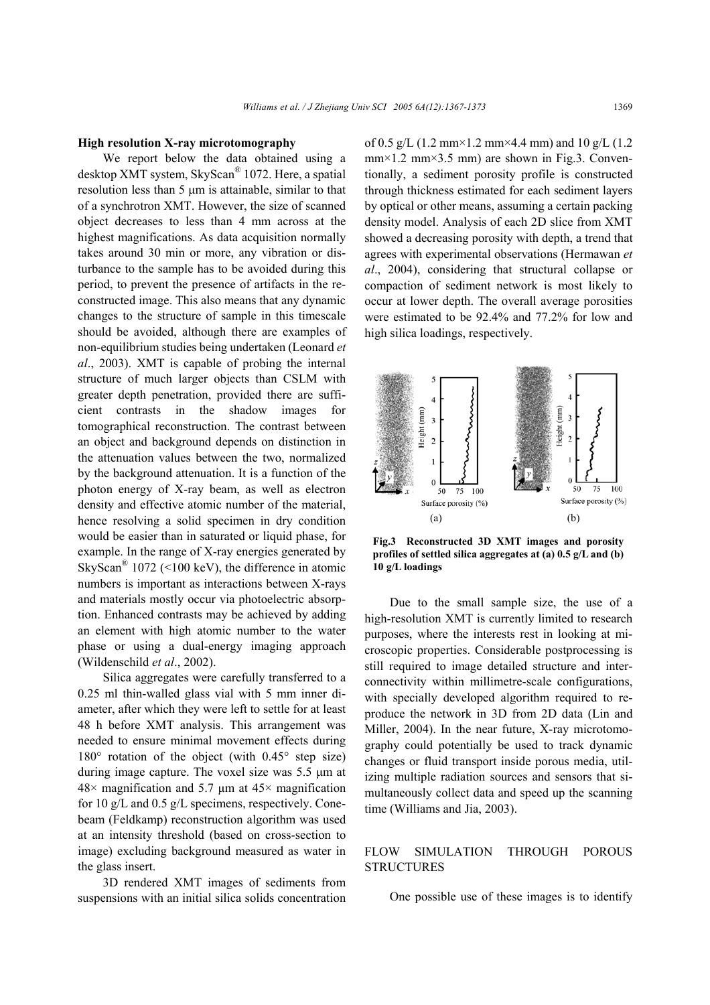#### **High resolution X-ray microtomography**

We report below the data obtained using a desktop XMT system, SkyScan® 1072. Here, a spatial resolution less than 5 µm is attainable, similar to that of a synchrotron XMT. However, the size of scanned object decreases to less than 4 mm across at the highest magnifications. As data acquisition normally takes around 30 min or more, any vibration or disturbance to the sample has to be avoided during this period, to prevent the presence of artifacts in the reconstructed image. This also means that any dynamic changes to the structure of sample in this timescale should be avoided, although there are examples of non-equilibrium studies being undertaken (Leonard *et al*., 2003). XMT is capable of probing the internal structure of much larger objects than CSLM with greater depth penetration, provided there are sufficient contrasts in the shadow images for tomographical reconstruction. The contrast between an object and background depends on distinction in the attenuation values between the two, normalized by the background attenuation. It is a function of the photon energy of X-ray beam, as well as electron density and effective atomic number of the material, hence resolving a solid specimen in dry condition would be easier than in saturated or liquid phase, for example. In the range of X-ray energies generated by SkyScan<sup>®</sup> 1072 (<100 keV), the difference in atomic numbers is important as interactions between X-rays and materials mostly occur via photoelectric absorption. Enhanced contrasts may be achieved by adding an element with high atomic number to the water phase or using a dual-energy imaging approach (Wildenschild *et al*., 2002).

Silica aggregates were carefully transferred to a 0.25 ml thin-walled glass vial with 5 mm inner diameter, after which they were left to settle for at least 48 h before XMT analysis. This arrangement was needed to ensure minimal movement effects during 180° rotation of the object (with 0.45° step size) during image capture. The voxel size was 5.5 µm at  $48\times$  magnification and 5.7 µm at  $45\times$  magnification for 10 g/L and 0.5 g/L specimens, respectively. Conebeam (Feldkamp) reconstruction algorithm was used at an intensity threshold (based on cross-section to image) excluding background measured as water in the glass insert.

3D rendered XMT images of sediments from suspensions with an initial silica solids concentration of 0.5 g/L (1.2 mm×1.2 mm×4.4 mm) and 10 g/L (1.2  $mm \times 1.2$  mm $\times 3.5$  mm) are shown in Fig.3. Conventionally, a sediment porosity profile is constructed through thickness estimated for each sediment layers by optical or other means, assuming a certain packing density model. Analysis of each 2D slice from XMT showed a decreasing porosity with depth, a trend that agrees with experimental observations (Hermawan *et al*., 2004), considering that structural collapse or compaction of sediment network is most likely to occur at lower depth. The overall average porosities were estimated to be 92.4% and 77.2% for low and high silica loadings, respectively.



**Fig.3 Reconstructed 3D XMT images and porosity profiles of settled silica aggregates at (a) 0.5 g/L and (b) 10 g/L loadings**

Due to the small sample size, the use of a high-resolution XMT is currently limited to research purposes, where the interests rest in looking at microscopic properties. Considerable postprocessing is still required to image detailed structure and interconnectivity within millimetre-scale configurations, with specially developed algorithm required to reproduce the network in 3D from 2D data (Lin and Miller, 2004). In the near future, X-ray microtomography could potentially be used to track dynamic changes or fluid transport inside porous media, utilizing multiple radiation sources and sensors that simultaneously collect data and speed up the scanning time (Williams and Jia, 2003).

# FLOW SIMULATION THROUGH POROUS **STRUCTURES**

One possible use of these images is to identify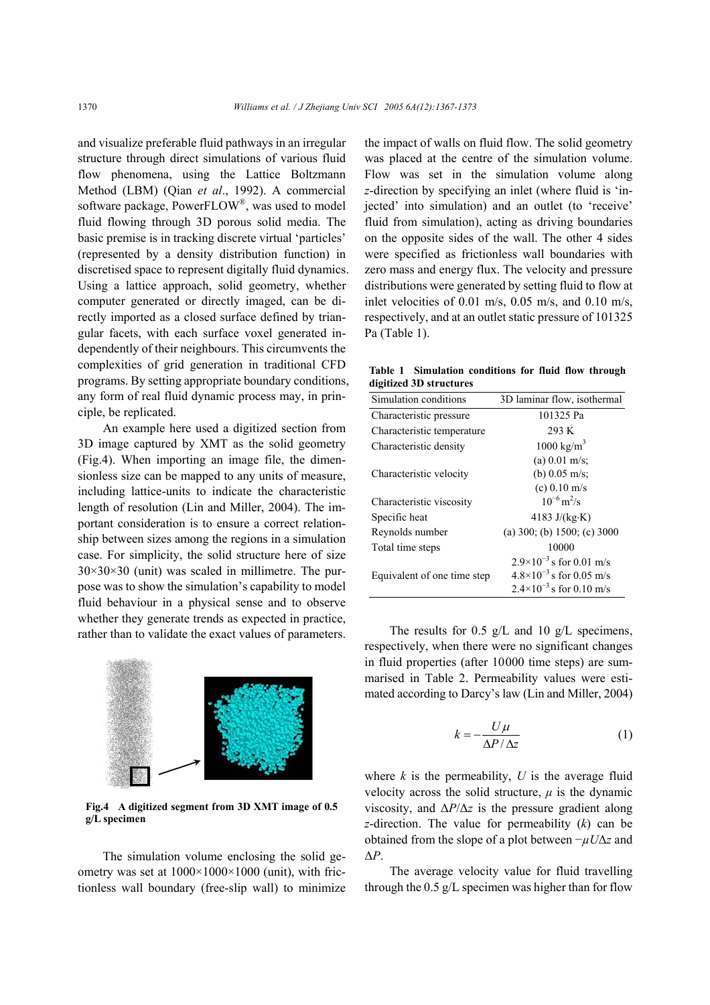and visualize preferable fluid pathways in an irregular structure through direct simulations of various fluid flow phenomena, using the Lattice Boltzmann Method (LBM) (Qian *et al*., 1992). A commercial software package, PowerFLOW®, was used to model fluid flowing through 3D porous solid media. The basic premise is in tracking discrete virtual 'particles' (represented by a density distribution function) in discretised space to represent digitally fluid dynamics. Using a lattice approach, solid geometry, whether computer generated or directly imaged, can be directly imported as a closed surface defined by triangular facets, with each surface voxel generated independently of their neighbours. This circumvents the complexities of grid generation in traditional CFD programs. By setting appropriate boundary conditions, any form of real fluid dynamic process may, in principle, be replicated.

An example here used a digitized section from 3D image captured by XMT as the solid geometry (Fig.4). When importing an image file, the dimensionless size can be mapped to any units of measure, including lattice-units to indicate the characteristic length of resolution (Lin and Miller, 2004). The important consideration is to ensure a correct relationship between sizes among the regions in a simulation case. For simplicity, the solid structure here of size  $30\times30\times30$  (unit) was scaled in millimetre. The purpose was to show the simulation's capability to model fluid behaviour in a physical sense and to observe whether they generate trends as expected in practice, rather than to validate the exact values of parameters.



**Fig.4 A digitized segment from 3D XMT image of 0.5 g/L specimen**

The simulation volume enclosing the solid geometry was set at  $1000 \times 1000 \times 1000$  (unit), with frictionless wall boundary (free-slip wall) to minimize the impact of walls on fluid flow. The solid geometry was placed at the centre of the simulation volume. Flow was set in the simulation volume along *z*-direction by specifying an inlet (where fluid is 'injected' into simulation) and an outlet (to 'receive' fluid from simulation), acting as driving boundaries on the opposite sides of the wall. The other 4 sides were specified as frictionless wall boundaries with zero mass and energy flux. The velocity and pressure distributions were generated by setting fluid to flow at inlet velocities of 0.01 m/s, 0.05 m/s, and 0.10 m/s, respectively, and at an outlet static pressure of 101325 Pa (Table 1).

**Table 1 Simulation conditions for fluid flow through digitized 3D structures** 

| Simulation conditions       | 3D laminar flow, isothermal         |  |  |  |
|-----------------------------|-------------------------------------|--|--|--|
| Characteristic pressure     | 101325 Pa                           |  |  |  |
| Characteristic temperature  | 293 K                               |  |  |  |
| Characteristic density      | $1000 \text{ kg/m}^3$               |  |  |  |
|                             | (a) $0.01 \text{ m/s}$ ;            |  |  |  |
| Characteristic velocity     | (b) $0.05$ m/s;                     |  |  |  |
|                             | $(c)$ 0.10 m/s                      |  |  |  |
| Characteristic viscosity    | $10^{-6}$ m <sup>2</sup> /s         |  |  |  |
| Specific heat               | 4183 J/(kg·K)                       |  |  |  |
| Reynolds number             | (a) 300; (b) 1500; (c) 3000         |  |  |  |
| Total time steps            | 10000                               |  |  |  |
|                             | $2.9\times10^{-3}$ s for 0.01 m/s   |  |  |  |
| Equivalent of one time step | $4.8 \times 10^{-3}$ s for 0.05 m/s |  |  |  |
|                             | $2.4 \times 10^{-3}$ s for 0.10 m/s |  |  |  |

The results for 0.5  $g/L$  and 10  $g/L$  specimens, respectively, when there were no significant changes in fluid properties (after 10000 time steps) are summarised in Table 2. Permeability values were estimated according to Darcy's law (Lin and Miller, 2004)

$$
k = -\frac{U\mu}{\Delta P/\Delta z} \tag{1}
$$

where  $k$  is the permeability,  $U$  is the average fluid velocity across the solid structure,  $\mu$  is the dynamic viscosity, and ∆*P*/∆*z* is the pressure gradient along *z*-direction. The value for permeability (*k*) can be obtained from the slope of a plot between −*µU*∆*z* and ∆*P*.

The average velocity value for fluid travelling through the 0.5 g/L specimen was higher than for flow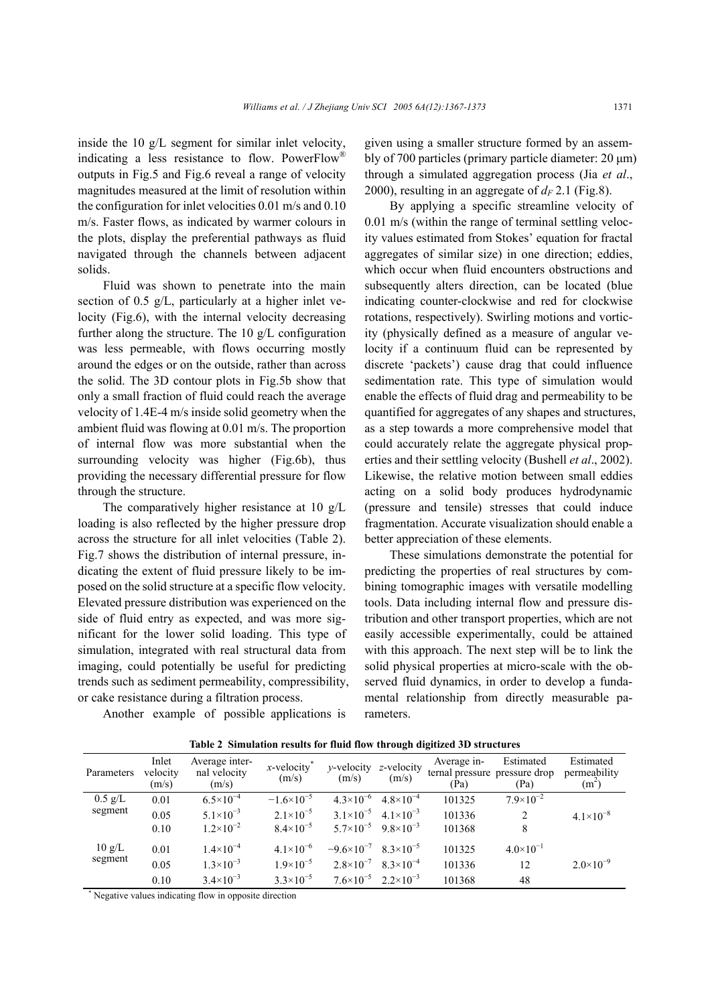inside the 10 g/L segment for similar inlet velocity, indicating a less resistance to flow. PowerFlow® outputs in Fig.5 and Fig.6 reveal a range of velocity magnitudes measured at the limit of resolution within the configuration for inlet velocities 0.01 m/s and 0.10 m/s. Faster flows, as indicated by warmer colours in the plots, display the preferential pathways as fluid navigated through the channels between adjacent solids.

Fluid was shown to penetrate into the main section of 0.5 g/L, particularly at a higher inlet velocity (Fig.6), with the internal velocity decreasing further along the structure. The 10 g/L configuration was less permeable, with flows occurring mostly around the edges or on the outside, rather than across the solid. The 3D contour plots in Fig.5b show that only a small fraction of fluid could reach the average velocity of 1.4E-4 m/s inside solid geometry when the ambient fluid was flowing at 0.01 m/s. The proportion of internal flow was more substantial when the surrounding velocity was higher (Fig.6b), thus providing the necessary differential pressure for flow through the structure.

The comparatively higher resistance at 10 g/L loading is also reflected by the higher pressure drop across the structure for all inlet velocities (Table 2). Fig.7 shows the distribution of internal pressure, indicating the extent of fluid pressure likely to be imposed on the solid structure at a specific flow velocity. Elevated pressure distribution was experienced on the side of fluid entry as expected, and was more significant for the lower solid loading. This type of simulation, integrated with real structural data from imaging, could potentially be useful for predicting trends such as sediment permeability, compressibility, or cake resistance during a filtration process.

Another example of possible applications is

given using a smaller structure formed by an assembly of 700 particles (primary particle diameter: 20 µm) through a simulated aggregation process (Jia *et al*., 2000), resulting in an aggregate of  $d_F$  2.1 (Fig.8).

By applying a specific streamline velocity of 0.01 m/s (within the range of terminal settling velocity values estimated from Stokes' equation for fractal aggregates of similar size) in one direction; eddies, which occur when fluid encounters obstructions and subsequently alters direction, can be located (blue indicating counter-clockwise and red for clockwise rotations, respectively). Swirling motions and vorticity (physically defined as a measure of angular velocity if a continuum fluid can be represented by discrete 'packets') cause drag that could influence sedimentation rate. This type of simulation would enable the effects of fluid drag and permeability to be quantified for aggregates of any shapes and structures, as a step towards a more comprehensive model that could accurately relate the aggregate physical properties and their settling velocity (Bushell *et al*., 2002). Likewise, the relative motion between small eddies acting on a solid body produces hydrodynamic (pressure and tensile) stresses that could induce fragmentation. Accurate visualization should enable a better appreciation of these elements.

These simulations demonstrate the potential for predicting the properties of real structures by combining tomographic images with versatile modelling tools. Data including internal flow and pressure distribution and other transport properties, which are not easily accessible experimentally, could be attained with this approach. The next step will be to link the solid physical properties at micro-scale with the observed fluid dynamics, in order to develop a fundamental relationship from directly measurable parameters.

| Parameters                   | Inlet<br>velocity<br>(m/s) | Average inter-<br>nal velocity<br>(m/s) | $x$ -velocity <sup>*</sup><br>(m/s) | $v$ -velocity<br>(m/s) | z-velocity<br>(m/s)  | Average in-<br>ternal pressure pressure drop<br>(Pa) | Estimated<br>(Pa)  | Estimated<br>permeability<br>(m <sup>2</sup> ) |
|------------------------------|----------------------------|-----------------------------------------|-------------------------------------|------------------------|----------------------|------------------------------------------------------|--------------------|------------------------------------------------|
| $0.5 \text{ g/L}$<br>segment | 0.01                       | $6.5 \times 10^{-4}$                    | $-1.6 \times 10^{-5}$               | $4.3 \times 10^{-6}$   | $4.8\times10^{-4}$   | 101325                                               | $7.9\times10^{-2}$ |                                                |
|                              | 0.05                       | $5.1 \times 10^{-3}$                    | $2.1 \times 10^{-5}$                | $3.1 \times 10^{-5}$   | $4.1 \times 10^{-3}$ | 101336                                               | $\mathcal{L}$      | $4.1 \times 10^{-8}$                           |
|                              | 0.10                       | $1.2\times10^{-2}$                      | $8.4\times10^{-5}$                  | $5.7\times10^{-5}$     | $9.8 \times 10^{-3}$ | 101368                                               | 8                  |                                                |
| $10 \text{ g/L}$<br>segment  | 0.01                       | $1.4 \times 10^{-4}$                    | $4.1 \times 10^{-6}$                | $-9.6 \times 10^{-7}$  | $8.3\times10^{-5}$   | 101325                                               | $4.0\times10^{-1}$ |                                                |
|                              | 0.05                       | $1.3 \times 10^{-3}$                    | $1.9\times10^{-5}$                  | $2.8 \times 10^{-7}$   | $8.3 \times 10^{-4}$ | 101336                                               | 12                 | $2.0 \times 10^{-9}$                           |
|                              | 0.10                       | $3.4 \times 10^{-3}$                    | $3.3\times10^{-5}$                  | $7.6 \times 10^{-5}$   | $2.2 \times 10^{-3}$ | 101368                                               | 48                 |                                                |

**Table 2 Simulation results for fluid flow through digitized 3D structures** 

\* Negative values indicating flow in opposite direction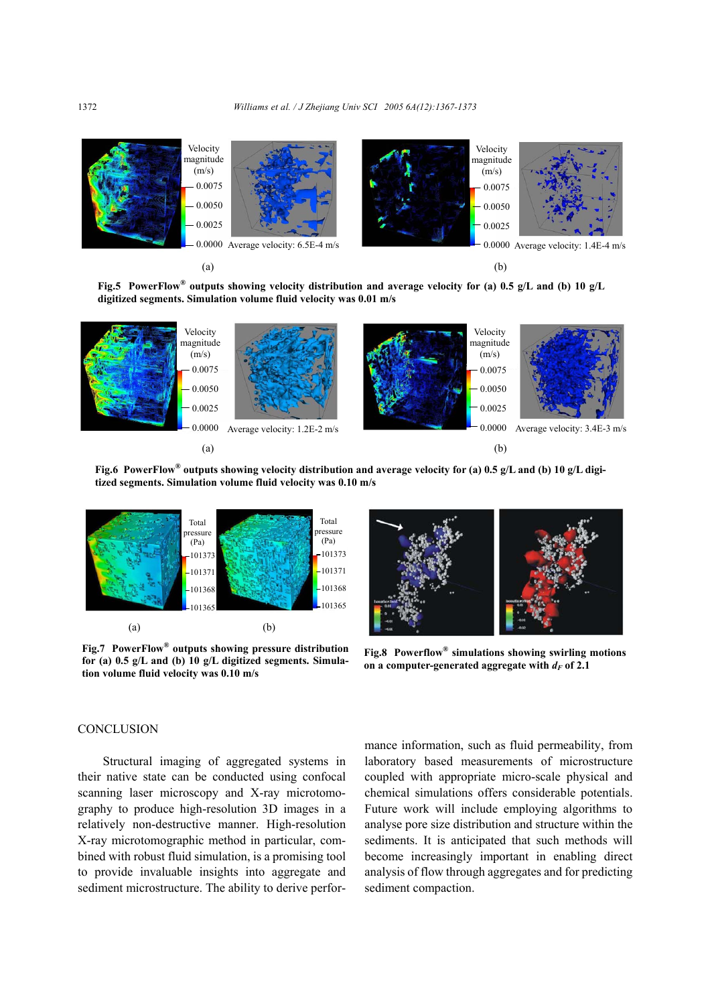

**Fig.5 PowerFlow® outputs showing velocity distribution and average velocity for (a) 0.5 g/L and (b) 10 g/L digitized segments. Simulation volume fluid velocity was 0.01 m/s**



**Fig.6 PowerFlow® outputs showing velocity distribution and average velocity for (a) 0.5 g/L and (b) 10 g/L digitized segments. Simulation volume fluid velocity was 0.10 m/s**



**Fig.7 PowerFlow® outputs showing pressure distribution for (a) 0.5 g/L and (b) 10 g/L digitized segments. Simulation volume fluid velocity was 0.10 m/s**

**Fig.8 Powerflow® simulations showing swirling motions** on a computer-generated aggregate with  $d_F$  of 2.1

# **CONCLUSION**

Structural imaging of aggregated systems in their native state can be conducted using confocal scanning laser microscopy and X-ray microtomography to produce high-resolution 3D images in a relatively non-destructive manner. High-resolution X-ray microtomographic method in particular, combined with robust fluid simulation, is a promising tool to provide invaluable insights into aggregate and sediment microstructure. The ability to derive performance information, such as fluid permeability, from laboratory based measurements of microstructure coupled with appropriate micro-scale physical and chemical simulations offers considerable potentials. Future work will include employing algorithms to analyse pore size distribution and structure within the sediments. It is anticipated that such methods will become increasingly important in enabling direct analysis of flow through aggregates and for predicting sediment compaction.